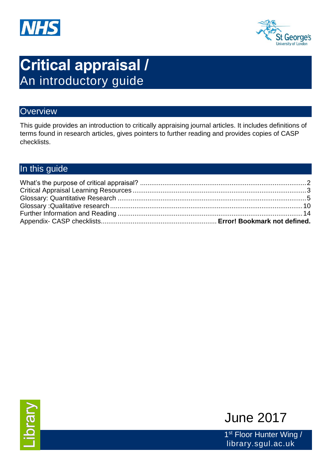



# **Critical appraisal /**  An introductory guide

## **Overview**

This guide provides an introduction to critically appraising journal articles. It includes definitions of terms found in research articles, gives pointers to further reading and provides copies of CASP checklists.

# In this guide



1<sup>st</sup> Floor Hunter Wing / library.sgul.ac.uk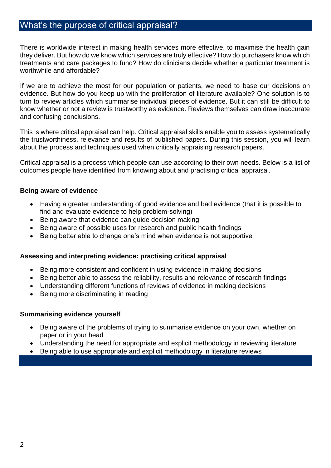## <span id="page-1-0"></span>What's the purpose of critical appraisal?

There is worldwide interest in making health services more effective, to maximise the health gain they deliver. But how do we know which services are truly effective? How do purchasers know which treatments and care packages to fund? How do clinicians decide whether a particular treatment is worthwhile and affordable?

If we are to achieve the most for our population or patients, we need to base our decisions on evidence. But how do you keep up with the proliferation of literature available? One solution is to turn to review articles which summarise individual pieces of evidence. But it can still be difficult to know whether or not a review is trustworthy as evidence. Reviews themselves can draw inaccurate and confusing conclusions.

This is where critical appraisal can help. Critical appraisal skills enable you to assess systematically the trustworthiness, relevance and results of published papers. During this session, you will learn about the process and techniques used when critically appraising research papers.

Critical appraisal is a process which people can use according to their own needs. Below is a list of outcomes people have identified from knowing about and practising critical appraisal.

#### **Being aware of evidence**

- Having a greater understanding of good evidence and bad evidence (that it is possible to find and evaluate evidence to help problem-solving)
- Being aware that evidence can quide decision making
- Being aware of possible uses for research and public health findings
- Being better able to change one's mind when evidence is not supportive

#### **Assessing and interpreting evidence: practising critical appraisal**

- Being more consistent and confident in using evidence in making decisions
- Being better able to assess the reliability, results and relevance of research findings
- Understanding different functions of reviews of evidence in making decisions
- Being more discriminating in reading

#### **Summarising evidence yourself**

- Being aware of the problems of trying to summarise evidence on your own, whether on paper or in your head
- Understanding the need for appropriate and explicit methodology in reviewing literature
- Being able to use appropriate and explicit methodology in literature reviews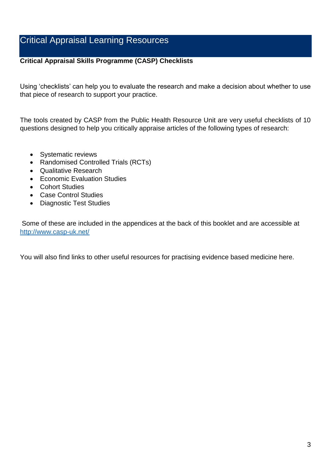## <span id="page-2-0"></span>Critical Appraisal Learning Resources

#### **Critical Appraisal Skills Programme (CASP) Checklists**

Using 'checklists' can help you to evaluate the research and make a decision about whether to use that piece of research to support your practice.

The tools created by CASP from the Public Health Resource Unit are very useful checklists of 10 questions designed to help you critically appraise articles of the following types of research:

- Systematic reviews
- Randomised Controlled Trials (RCTs)
- Qualitative Research
- Economic Evaluation Studies
- Cohort Studies
- Case Control Studies
- Diagnostic Test Studies

Some of these are included in the appendices at the back of this booklet and are accessible at <http://www.casp-uk.net/>

You will also find links to other useful resources for practising evidence based medicine here.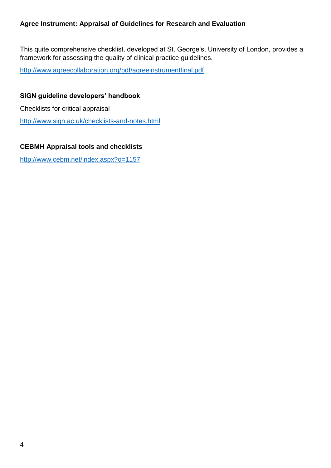#### **Agree Instrument: Appraisal of Guidelines for Research and Evaluation**

This quite comprehensive checklist, developed at St. George's, University of London, provides a framework for assessing the quality of clinical practice guidelines.

<http://www.agreecollaboration.org/pdf/agreeinstrumentfinal.pdf>

#### **SIGN guideline developers' handbook**

Checklists for critical appraisal

<http://www.sign.ac.uk/checklists-and-notes.html>

#### **CEBMH Appraisal tools and checklists**

<http://www.cebm.net/index.aspx?o=1157>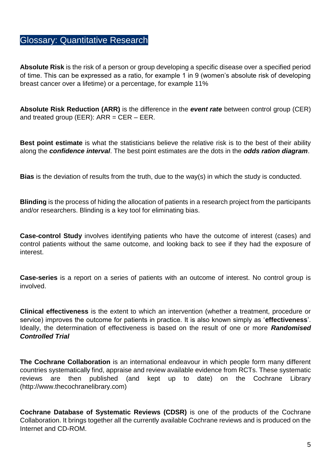## <span id="page-4-0"></span>Glossary: Quantitative Research

**Absolute Risk** is the risk of a person or group developing a specific disease over a specified period of time. This can be expressed as a ratio, for example 1 in 9 (women's absolute risk of developing breast cancer over a lifetime) or a percentage, for example 11%

**Absolute Risk Reduction (ARR)** is the difference in the *event rate* between control group (CER) and treated group (EER):  $ARR = CER - EER$ .

**Best point estimate** is what the statisticians believe the relative risk is to the best of their ability along the *confidence interval*. The best point estimates are the dots in the *odds ration diagram*.

**Bias** is the deviation of results from the truth, due to the way(s) in which the study is conducted.

**Blinding** is the process of hiding the allocation of patients in a research project from the participants and/or researchers. Blinding is a key tool for eliminating bias.

**Case-control Study** involves identifying patients who have the outcome of interest (cases) and control patients without the same outcome, and looking back to see if they had the exposure of interest.

**Case-series** is a report on a series of patients with an outcome of interest. No control group is involved.

**Clinical effectiveness** is the extent to which an intervention (whether a treatment, procedure or service) improves the outcome for patients in practice. It is also known simply as '**effectiveness**'. Ideally, the determination of effectiveness is based on the result of one or more *Randomised Controlled Trial*

**The Cochrane Collaboration** is an international endeavour in which people form many different countries systematically find, appraise and review available evidence from RCTs. These systematic reviews are then published (and kept up to date) on the Cochrane Library (http://www.thecochranelibrary.com)

**Cochrane Database of Systematic Reviews (CDSR)** is one of the products of the Cochrane Collaboration. It brings together all the currently available Cochrane reviews and is produced on the Internet and CD-ROM.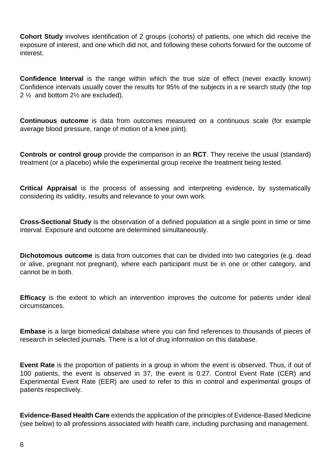**Cohort Study** involves identification of 2 groups (cohorts) of patients, one which did receive the exposure of interest, and one which did not, and following these cohorts forward for the outcome of interest.

**Confidence Interval** is the range within which the true size of effect (never exactly known) Confidence intervals usually cover the results for 95% of the subjects in a re search study (the top 2 ½ and bottom 2½ are excluded).

**Continuous outcome** is data from outcomes measured on a continuous scale (for example average blood pressure, range of motion of a knee joint).

**Controls or control group** provide the comparison in an **RCT**. They receive the usual (standard) treatment (or a placebo) while the experimental group receive the treatment being tested.

**Critical Appraisal** is the process of assessing and interpreting evidence, by systematically considering its validity, results and relevance to your own work.

**Cross-Sectional Study** is the observation of a defined population at a single point in time or time interval. Exposure and outcome are determined simultaneously.

**Dichotomous outcome** is data from outcomes that can be divided into two categories (e.g. dead or alive, pregnant not pregnant), where each participant must be in one or other category, and cannot be in both.

**Efficacy** is the extent to which an intervention improves the outcome for patients under ideal circumstances.

**Embase** is a large biomedical database where you can find references to thousands of pieces of research in selected journals. There is a lot of drug information on this database.

**Event Rate** is the proportion of patients in a group in whom the event is observed. Thus, if out of 100 patients, the event is observed in 37, the event is 0.27. Control Event Rate (CER) and Experimental Event Rate (EER) are used to refer to this in control and experimental groups of patients respectively.

**Evidence-Based Health Care** extends the application of the principles of Evidence-Based Medicine (see below) to all professions associated with health care, including purchasing and management.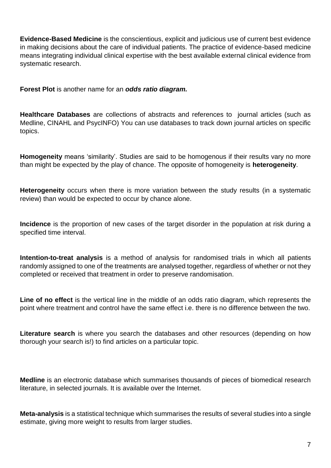**Evidence-Based Medicine** is the conscientious, explicit and judicious use of current best evidence in making decisions about the care of individual patients. The practice of evidence-based medicine means integrating individual clinical expertise with the best available external clinical evidence from systematic research.

**Forest Plot** is another name for an *odds ratio diagram.*

**Healthcare Databases** are collections of abstracts and references to journal articles (such as Medline, CINAHL and PsycINFO) You can use databases to track down journal articles on specific topics.

**Homogeneity** means 'similarity'. Studies are said to be homogenous if their results vary no more than might be expected by the play of chance. The opposite of homogeneity is **heterogeneity**.

**Heterogeneity** occurs when there is more variation between the study results (in a systematic review) than would be expected to occur by chance alone.

**Incidence** is the proportion of new cases of the target disorder in the population at risk during a specified time interval.

**Intention-to-treat analysis** is a method of analysis for randomised trials in which all patients randomly assigned to one of the treatments are analysed together, regardless of whether or not they completed or received that treatment in order to preserve randomisation.

**Line of no effect** is the vertical line in the middle of an odds ratio diagram, which represents the point where treatment and control have the same effect i.e. there is no difference between the two.

Literature search is where you search the databases and other resources (depending on how thorough your search is!) to find articles on a particular topic.

**Medline** is an electronic database which summarises thousands of pieces of biomedical research literature, in selected journals. It is available over the Internet.

**Meta-analysis** is a statistical technique which summarises the results of several studies into a single estimate, giving more weight to results from larger studies.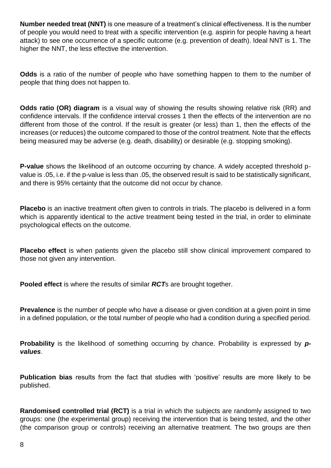**Number needed treat (NNT)** is one measure of a treatment's clinical effectiveness. It is the number of people you would need to treat with a specific intervention (e.g. aspirin for people having a heart attack) to see one occurrence of a specific outcome (e.g. prevention of death). Ideal NNT is 1. The higher the NNT, the less effective the intervention.

**Odds** is a ratio of the number of people who have something happen to them to the number of people that thing does not happen to.

**Odds ratio (OR) diagram** is a visual way of showing the results showing relative risk (RR) and confidence intervals. If the confidence interval crosses 1 then the effects of the intervention are no different from those of the control. If the result is greater (or less) than 1, then the effects of the increases (or reduces) the outcome compared to those of the control treatment. Note that the effects being measured may be adverse (e.g. death, disability) or desirable (e.g. stopping smoking).

**P-value** shows the likelihood of an outcome occurring by chance. A widely accepted threshold pvalue is .05, i.e. if the p-value is less than .05, the observed result is said to be statistically significant, and there is 95% certainty that the outcome did not occur by chance.

**Placebo** is an inactive treatment often given to controls in trials. The placebo is delivered in a form which is apparently identical to the active treatment being tested in the trial, in order to eliminate psychological effects on the outcome.

**Placebo effect** is when patients given the placebo still show clinical improvement compared to those not given any intervention.

**Pooled effect** is where the results of similar *RCT*s are brought together.

**Prevalence** is the number of people who have a disease or given condition at a given point in time in a defined population, or the total number of people who had a condition during a specified period.

**Probability** is the likelihood of something occurring by chance. Probability is expressed by **p***values*.

**Publication bias** results from the fact that studies with 'positive' results are more likely to be published.

**Randomised controlled trial (RCT)** is a trial in which the subjects are randomly assigned to two groups: one (the experimental group) receiving the intervention that is being tested, and the other (the comparison group or controls) receiving an alternative treatment. The two groups are then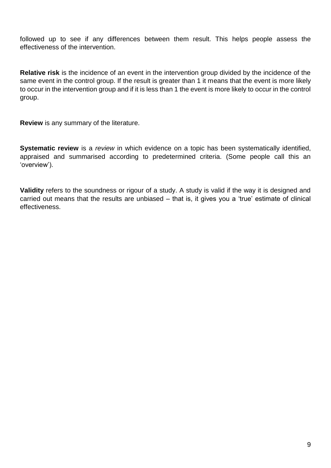followed up to see if any differences between them result. This helps people assess the effectiveness of the intervention.

**Relative risk** is the incidence of an event in the intervention group divided by the incidence of the same event in the control group. If the result is greater than 1 it means that the event is more likely to occur in the intervention group and if it is less than 1 the event is more likely to occur in the control group.

**Review** is any summary of the literature.

**Systematic review** is a *review* in which evidence on a topic has been systematically identified, appraised and summarised according to predetermined criteria. (Some people call this an 'overview').

**Validity** refers to the soundness or rigour of a study. A study is valid if the way it is designed and carried out means that the results are unbiased – that is, it gives you a 'true' estimate of clinical effectiveness.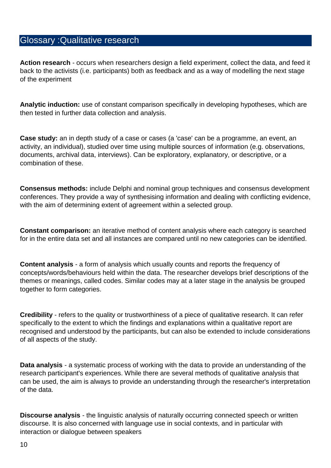## <span id="page-9-0"></span>Glossary :Qualitative research

**Action research** - occurs when researchers design a field experiment, collect the data, and feed it back to the activists (i.e. participants) both as feedback and as a way of modelling the next stage of the experiment

**Analytic induction:** use of constant comparison specifically in developing hypotheses, which are then tested in further data collection and analysis.

**Case study:** an in depth study of a case or cases (a 'case' can be a programme, an event, an activity, an individual), studied over time using multiple sources of information (e.g. observations, documents, archival data, interviews). Can be exploratory, explanatory, or descriptive, or a combination of these.

**Consensus methods:** include Delphi and nominal group techniques and consensus development conferences. They provide a way of synthesising information and dealing with conflicting evidence, with the aim of determining extent of agreement within a selected group.

**Constant comparison:** an iterative method of content analysis where each category is searched for in the entire data set and all instances are compared until no new categories can be identified.

**Content analysis** - a form of analysis which usually counts and reports the frequency of concepts/words/behaviours held within the data. The researcher develops brief descriptions of the themes or meanings, called codes. Similar codes may at a later stage in the analysis be grouped together to form categories.

**Credibility** - refers to the quality or trustworthiness of a piece of qualitative research. It can refer specifically to the extent to which the findings and explanations within a qualitative report are recognised and understood by the participants, but can also be extended to include considerations of all aspects of the study.

**Data analysis** - a systematic process of working with the data to provide an understanding of the research participant's experiences. While there are several methods of qualitative analysis that can be used, the aim is always to provide an understanding through the researcher's interpretation of the data.

**Discourse analysis** - the linguistic analysis of naturally occurring connected speech or written discourse. It is also concerned with language use in social contexts, and in particular with interaction or dialogue between speakers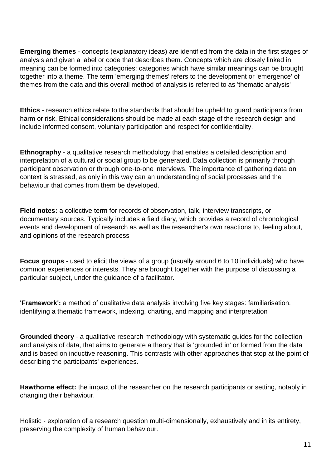**Emerging themes** - concepts (explanatory ideas) are identified from the data in the first stages of analysis and given a label or code that describes them. Concepts which are closely linked in meaning can be formed into categories: categories which have similar meanings can be brought together into a theme. The term 'emerging themes' refers to the development or 'emergence' of themes from the data and this overall method of analysis is referred to as 'thematic analysis'

**Ethics** - research ethics relate to the standards that should be upheld to guard participants from harm or risk. Ethical considerations should be made at each stage of the research design and include informed consent, voluntary participation and respect for confidentiality.

**Ethnography** - a qualitative research methodology that enables a detailed description and interpretation of a cultural or social group to be generated. Data collection is primarily through participant observation or through one-to-one interviews. The importance of gathering data on context is stressed, as only in this way can an understanding of social processes and the behaviour that comes from them be developed.

**Field notes:** a collective term for records of observation, talk, interview transcripts, or documentary sources. Typically includes a field diary, which provides a record of chronological events and development of research as well as the researcher's own reactions to, feeling about, and opinions of the research process

**Focus groups** - used to elicit the views of a group (usually around 6 to 10 individuals) who have common experiences or interests. They are brought together with the purpose of discussing a particular subject, under the guidance of a facilitator.

**'Framework':** a method of qualitative data analysis involving five key stages: familiarisation, identifying a thematic framework, indexing, charting, and mapping and interpretation

**Grounded theory** - a qualitative research methodology with systematic guides for the collection and analysis of data, that aims to generate a theory that is 'grounded in' or formed from the data and is based on inductive reasoning. This contrasts with other approaches that stop at the point of describing the participants' experiences.

**Hawthorne effect:** the impact of the researcher on the research participants or setting, notably in changing their behaviour.

Holistic - exploration of a research question multi-dimensionally, exhaustively and in its entirety, preserving the complexity of human behaviour.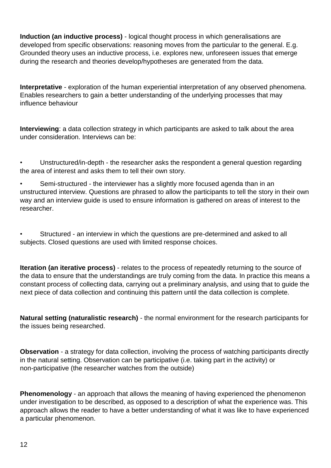**Induction (an inductive process)** - logical thought process in which generalisations are developed from specific observations: reasoning moves from the particular to the general. E.g. Grounded theory uses an inductive process, i.e. explores new, unforeseen issues that emerge during the research and theories develop/hypotheses are generated from the data.

**Interpretative** - exploration of the human experiential interpretation of any observed phenomena. Enables researchers to gain a better understanding of the underlying processes that may influence behaviour

**Interviewing**: a data collection strategy in which participants are asked to talk about the area under consideration. Interviews can be:

• Unstructured/in-depth - the researcher asks the respondent a general question regarding the area of interest and asks them to tell their own story.

• Semi-structured - the interviewer has a slightly more focused agenda than in an unstructured interview. Questions are phrased to allow the participants to tell the story in their own way and an interview guide is used to ensure information is gathered on areas of interest to the researcher.

Structured - an interview in which the questions are pre-determined and asked to all subjects. Closed questions are used with limited response choices.

**Iteration (an iterative process)** - relates to the process of repeatedly returning to the source of the data to ensure that the understandings are truly coming from the data. In practice this means a constant process of collecting data, carrying out a preliminary analysis, and using that to guide the next piece of data collection and continuing this pattern until the data collection is complete.

**Natural setting (naturalistic research)** - the normal environment for the research participants for the issues being researched.

**Observation** - a strategy for data collection, involving the process of watching participants directly in the natural setting. Observation can be participative (i.e. taking part in the activity) or non-participative (the researcher watches from the outside)

**Phenomenology** - an approach that allows the meaning of having experienced the phenomenon under investigation to be described, as opposed to a description of what the experience was. This approach allows the reader to have a better understanding of what it was like to have experienced a particular phenomenon.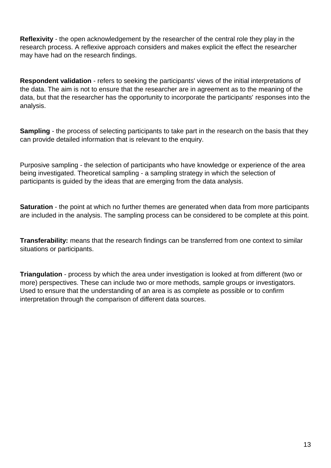**Reflexivity** - the open acknowledgement by the researcher of the central role they play in the research process. A reflexive approach considers and makes explicit the effect the researcher may have had on the research findings.

**Respondent validation** - refers to seeking the participants' views of the initial interpretations of the data. The aim is not to ensure that the researcher are in agreement as to the meaning of the data, but that the researcher has the opportunity to incorporate the participants' responses into the analysis.

**Sampling** - the process of selecting participants to take part in the research on the basis that they can provide detailed information that is relevant to the enquiry.

Purposive sampling - the selection of participants who have knowledge or experience of the area being investigated. Theoretical sampling - a sampling strategy in which the selection of participants is guided by the ideas that are emerging from the data analysis.

**Saturation** - the point at which no further themes are generated when data from more participants are included in the analysis. The sampling process can be considered to be complete at this point.

**Transferability:** means that the research findings can be transferred from one context to similar situations or participants.

**Triangulation** - process by which the area under investigation is looked at from different (two or more) perspectives. These can include two or more methods, sample groups or investigators. Used to ensure that the understanding of an area is as complete as possible or to confirm interpretation through the comparison of different data sources.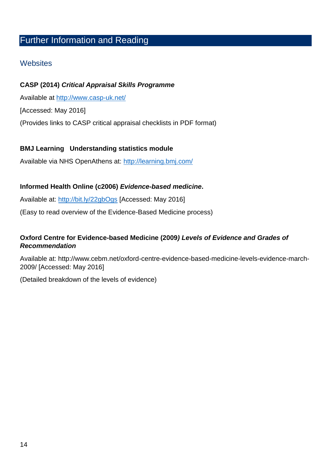# <span id="page-13-0"></span>Further Information and Reading

## **Websites**

#### **CASP (2014)** *Critical Appraisal Skills Programme*

Available at<http://www.casp-uk.net/>

[Accessed: May 2016]

(Provides links to CASP critical appraisal checklists in PDF format)

#### **BMJ Learning Understanding statistics module**

Available via NHS OpenAthens at:<http://learning.bmj.com/>

#### **Informed Health Online (c2006)** *Evidence-based medicine***.**

Available at:<http://bit.ly/22gbOgs> [Accessed: May 2016]

(Easy to read overview of the Evidence-Based Medicine process)

#### **Oxford Centre for Evidence-based Medicine (2009***) Levels of Evidence and Grades of Recommendation*

Available at: http://www.cebm.net/oxford-centre-evidence-based-medicine-levels-evidence-march-2009/ [Accessed: May 2016]

(Detailed breakdown of the levels of evidence)